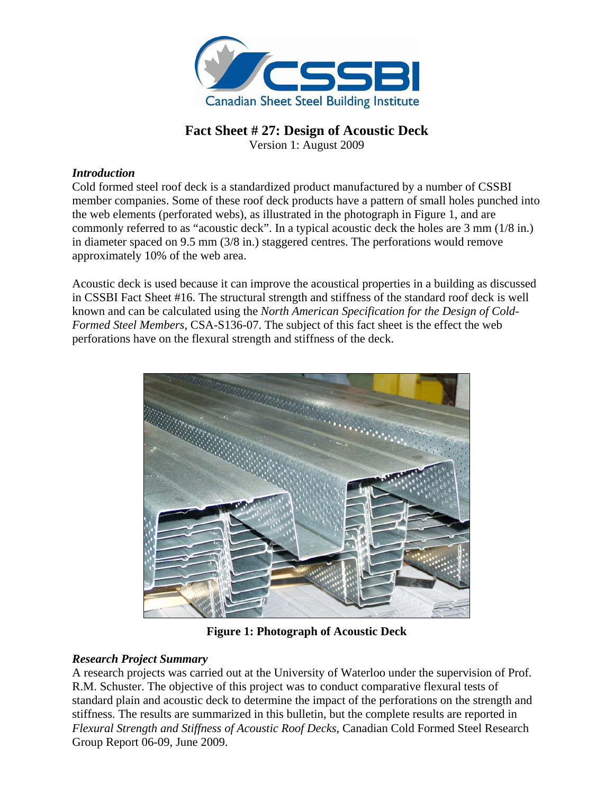

# **Fact Sheet # 27: Design of Acoustic Deck**

Version 1: August 2009

## *Introduction*

Cold formed steel roof deck is a standardized product manufactured by a number of CSSBI member companies. Some of these roof deck products have a pattern of small holes punched into the web elements (perforated webs), as illustrated in the photograph in Figure 1, and are commonly referred to as "acoustic deck". In a typical acoustic deck the holes are 3 mm (1/8 in.) in diameter spaced on 9.5 mm (3/8 in.) staggered centres. The perforations would remove approximately 10% of the web area.

Acoustic deck is used because it can improve the acoustical properties in a building as discussed in CSSBI Fact Sheet #16. The structural strength and stiffness of the standard roof deck is well known and can be calculated using the *North American Specification for the Design of Cold-Formed Steel Members*, CSA-S136-07. The subject of this fact sheet is the effect the web perforations have on the flexural strength and stiffness of the deck.



**Figure 1: Photograph of Acoustic Deck** 

## *Research Project Summary*

A research projects was carried out at the University of Waterloo under the supervision of Prof. R.M. Schuster. The objective of this project was to conduct comparative flexural tests of standard plain and acoustic deck to determine the impact of the perforations on the strength and stiffness. The results are summarized in this bulletin, but the complete results are reported in *Flexural Strength and Stiffness of Acoustic Roof Decks*, Canadian Cold Formed Steel Research Group Report 06-09, June 2009.